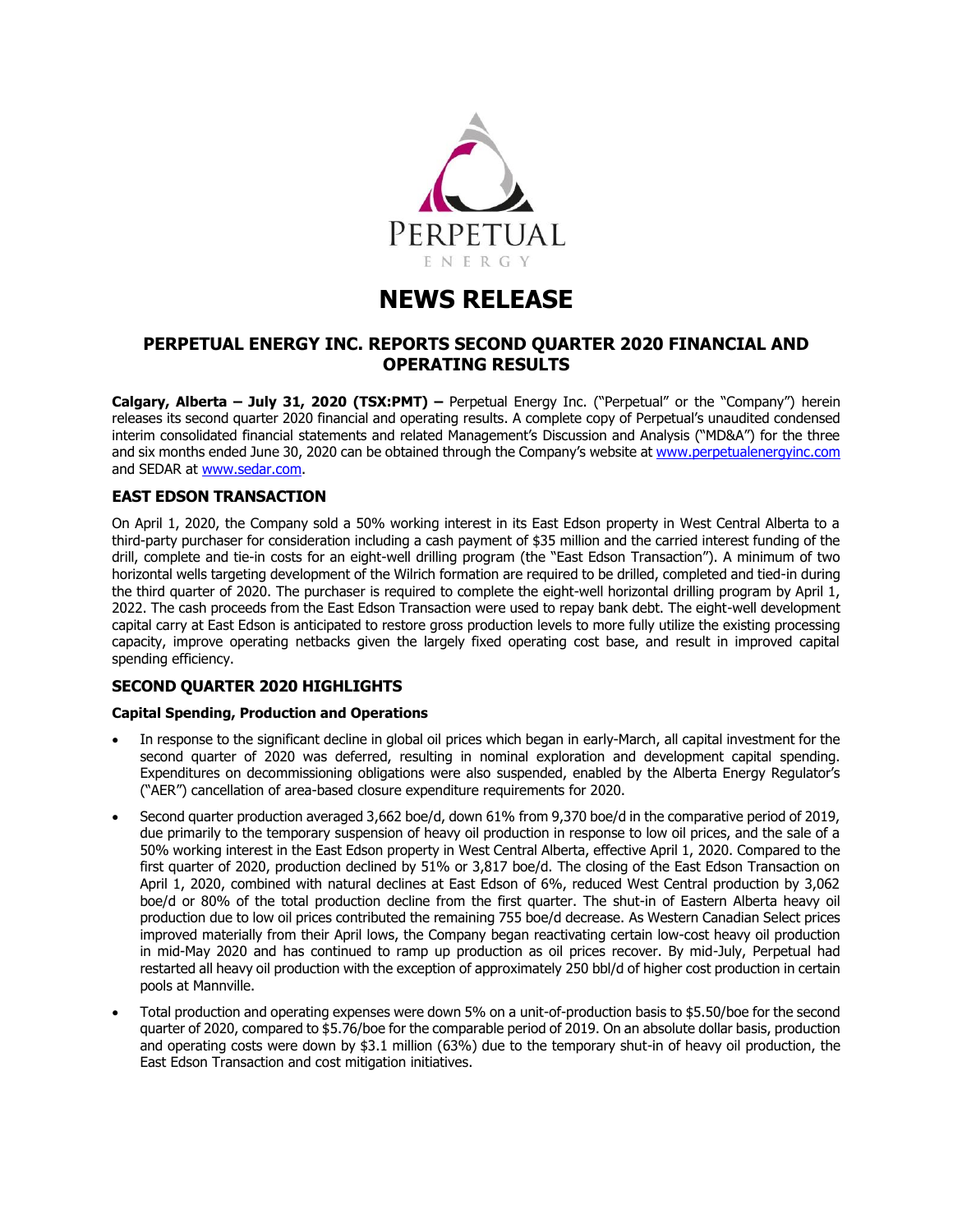

# **NEWS RELEASE**

# **PERPETUAL ENERGY INC. REPORTS SECOND QUARTER 2020 FINANCIAL AND OPERATING RESULTS**

**Calgary, Alberta – July 31, 2020 (TSX:PMT) –** Perpetual Energy Inc. ("Perpetual" or the "Company") herein releases its second quarter 2020 financial and operating results. A complete copy of Perpetual's unaudited condensed interim consolidated financial statements and related Management's Discussion and Analysis ("MD&A") for the three and six months ended June 30, 2020 can be obtained through the Company's website at [www.perpetualenergyinc.com](http://www.perpetualenergyinc.com/) and SEDAR at [www.sedar.com.](http://www.sedar.com/)

## **EAST EDSON TRANSACTION**

On April 1, 2020, the Company sold a 50% working interest in its East Edson property in West Central Alberta to a third-party purchaser for consideration including a cash payment of \$35 million and the carried interest funding of the drill, complete and tie-in costs for an eight-well drilling program (the "East Edson Transaction"). A minimum of two horizontal wells targeting development of the Wilrich formation are required to be drilled, completed and tied-in during the third quarter of 2020. The purchaser is required to complete the eight-well horizontal drilling program by April 1, 2022. The cash proceeds from the East Edson Transaction were used to repay bank debt. The eight-well development capital carry at East Edson is anticipated to restore gross production levels to more fully utilize the existing processing capacity, improve operating netbacks given the largely fixed operating cost base, and result in improved capital spending efficiency.

## **SECOND QUARTER 2020 HIGHLIGHTS**

## **Capital Spending, Production and Operations**

- In response to the significant decline in global oil prices which began in early-March, all capital investment for the second quarter of 2020 was deferred, resulting in nominal exploration and development capital spending. Expenditures on decommissioning obligations were also suspended, enabled by the Alberta Energy Regulator's ("AER") cancellation of area-based closure expenditure requirements for 2020.
- Second quarter production averaged 3,662 boe/d, down 61% from 9,370 boe/d in the comparative period of 2019, due primarily to the temporary suspension of heavy oil production in response to low oil prices, and the sale of a 50% working interest in the East Edson property in West Central Alberta, effective April 1, 2020. Compared to the first quarter of 2020, production declined by 51% or 3,817 boe/d. The closing of the East Edson Transaction on April 1, 2020, combined with natural declines at East Edson of 6%, reduced West Central production by 3,062 boe/d or 80% of the total production decline from the first quarter. The shut-in of Eastern Alberta heavy oil production due to low oil prices contributed the remaining 755 boe/d decrease. As Western Canadian Select prices improved materially from their April lows, the Company began reactivating certain low-cost heavy oil production in mid-May 2020 and has continued to ramp up production as oil prices recover. By mid-July, Perpetual had restarted all heavy oil production with the exception of approximately 250 bbl/d of higher cost production in certain pools at Mannville.
- Total production and operating expenses were down 5% on a unit-of-production basis to \$5.50/boe for the second quarter of 2020, compared to \$5.76/boe for the comparable period of 2019. On an absolute dollar basis, production and operating costs were down by \$3.1 million (63%) due to the temporary shut-in of heavy oil production, the East Edson Transaction and cost mitigation initiatives.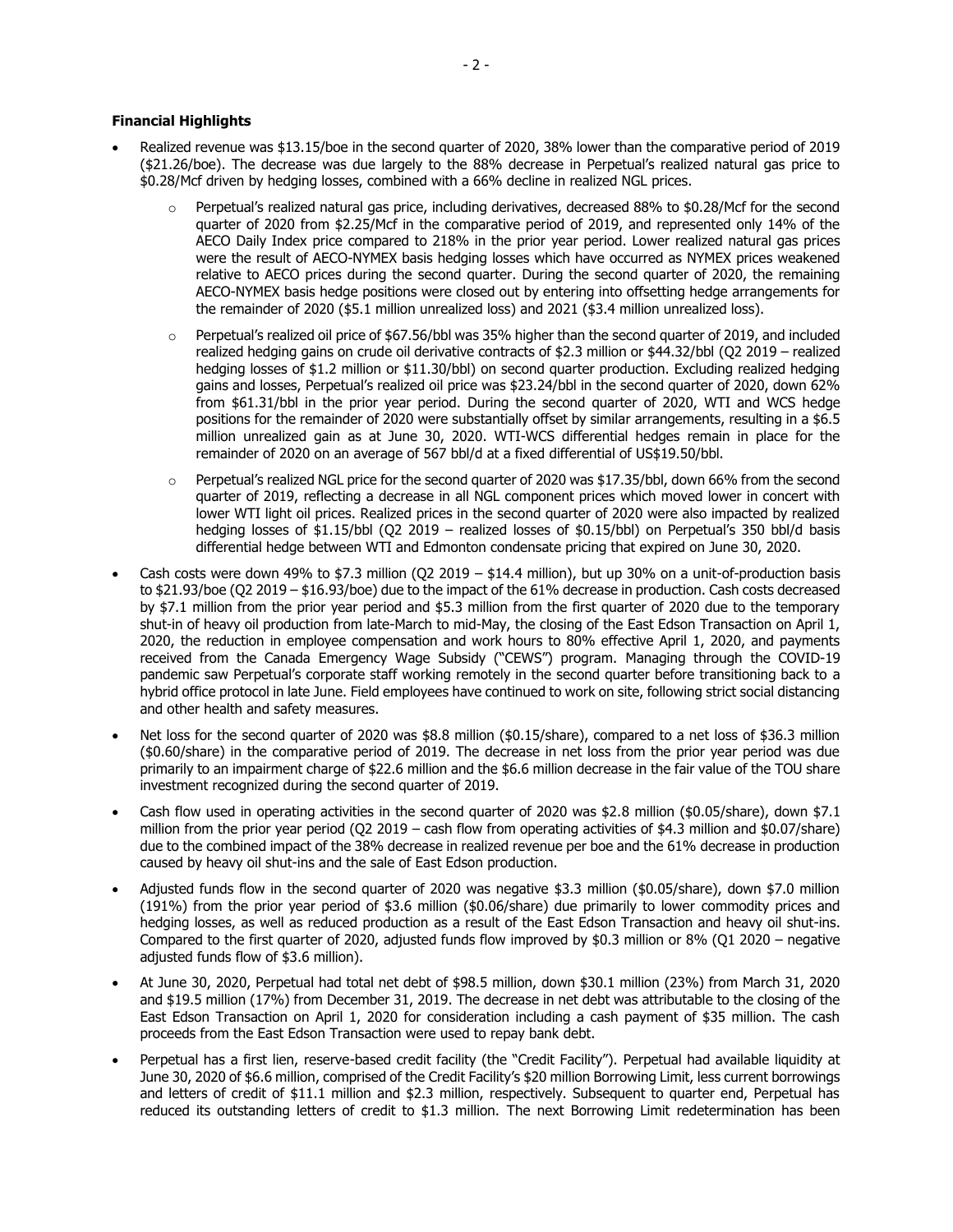#### **Financial Highlights**

- Realized revenue was \$13.15/boe in the second quarter of 2020, 38% lower than the comparative period of 2019 (\$21.26/boe). The decrease was due largely to the 88% decrease in Perpetual's realized natural gas price to \$0.28/Mcf driven by hedging losses, combined with a 66% decline in realized NGL prices.
	- $\circ$  Perpetual's realized natural gas price, including derivatives, decreased 88% to \$0.28/Mcf for the second quarter of 2020 from \$2.25/Mcf in the comparative period of 2019, and represented only 14% of the AECO Daily Index price compared to 218% in the prior year period. Lower realized natural gas prices were the result of AECO-NYMEX basis hedging losses which have occurred as NYMEX prices weakened relative to AECO prices during the second quarter. During the second quarter of 2020, the remaining AECO-NYMEX basis hedge positions were closed out by entering into offsetting hedge arrangements for the remainder of 2020 (\$5.1 million unrealized loss) and 2021 (\$3.4 million unrealized loss).
	- $\circ$  Perpetual's realized oil price of \$67.56/bbl was 35% higher than the second quarter of 2019, and included realized hedging gains on crude oil derivative contracts of \$2.3 million or \$44.32/bbl (Q2 2019 – realized hedging losses of \$1.2 million or \$11.30/bbl) on second quarter production. Excluding realized hedging gains and losses, Perpetual's realized oil price was \$23.24/bbl in the second quarter of 2020, down 62% from \$61.31/bbl in the prior year period. During the second quarter of 2020, WTI and WCS hedge positions for the remainder of 2020 were substantially offset by similar arrangements, resulting in a \$6.5 million unrealized gain as at June 30, 2020. WTI-WCS differential hedges remain in place for the remainder of 2020 on an average of 567 bbl/d at a fixed differential of US\$19.50/bbl.
	- Perpetual's realized NGL price for the second quarter of 2020 was \$17.35/bbl, down 66% from the second quarter of 2019, reflecting a decrease in all NGL component prices which moved lower in concert with lower WTI light oil prices. Realized prices in the second quarter of 2020 were also impacted by realized hedging losses of \$1.15/bbl (Q2 2019 – realized losses of \$0.15/bbl) on Perpetual's 350 bbl/d basis differential hedge between WTI and Edmonton condensate pricing that expired on June 30, 2020.
- Cash costs were down 49% to \$7.3 million (Q2 2019 \$14.4 million), but up 30% on a unit-of-production basis to \$21.93/boe (Q2 2019 – \$16.93/boe) due to the impact of the 61% decrease in production. Cash costs decreased by \$7.1 million from the prior year period and \$5.3 million from the first quarter of 2020 due to the temporary shut-in of heavy oil production from late-March to mid-May, the closing of the East Edson Transaction on April 1, 2020, the reduction in employee compensation and work hours to 80% effective April 1, 2020, and payments received from the Canada Emergency Wage Subsidy ("CEWS") program. Managing through the COVID-19 pandemic saw Perpetual's corporate staff working remotely in the second quarter before transitioning back to a hybrid office protocol in late June. Field employees have continued to work on site, following strict social distancing and other health and safety measures.
- Net loss for the second quarter of 2020 was \$8.8 million (\$0.15/share), compared to a net loss of \$36.3 million (\$0.60/share) in the comparative period of 2019. The decrease in net loss from the prior year period was due primarily to an impairment charge of \$22.6 million and the \$6.6 million decrease in the fair value of the TOU share investment recognized during the second quarter of 2019.
- Cash flow used in operating activities in the second quarter of 2020 was \$2.8 million (\$0.05/share), down \$7.1 million from the prior year period (Q2 2019 – cash flow from operating activities of \$4.3 million and \$0.07/share) due to the combined impact of the 38% decrease in realized revenue per boe and the 61% decrease in production caused by heavy oil shut-ins and the sale of East Edson production.
- Adjusted funds flow in the second quarter of 2020 was negative \$3.3 million (\$0.05/share), down \$7.0 million (191%) from the prior year period of \$3.6 million (\$0.06/share) due primarily to lower commodity prices and hedging losses, as well as reduced production as a result of the East Edson Transaction and heavy oil shut-ins. Compared to the first quarter of 2020, adjusted funds flow improved by \$0.3 million or 8% (Q1 2020 – negative adjusted funds flow of \$3.6 million).
- At June 30, 2020, Perpetual had total net debt of \$98.5 million, down \$30.1 million (23%) from March 31, 2020 and \$19.5 million (17%) from December 31, 2019. The decrease in net debt was attributable to the closing of the East Edson Transaction on April 1, 2020 for consideration including a cash payment of \$35 million. The cash proceeds from the East Edson Transaction were used to repay bank debt.
- Perpetual has a first lien, reserve-based credit facility (the "Credit Facility"). Perpetual had available liquidity at June 30, 2020 of \$6.6 million, comprised of the Credit Facility's \$20 million Borrowing Limit, less current borrowings and letters of credit of \$11.1 million and \$2.3 million, respectively. Subsequent to quarter end, Perpetual has reduced its outstanding letters of credit to \$1.3 million. The next Borrowing Limit redetermination has been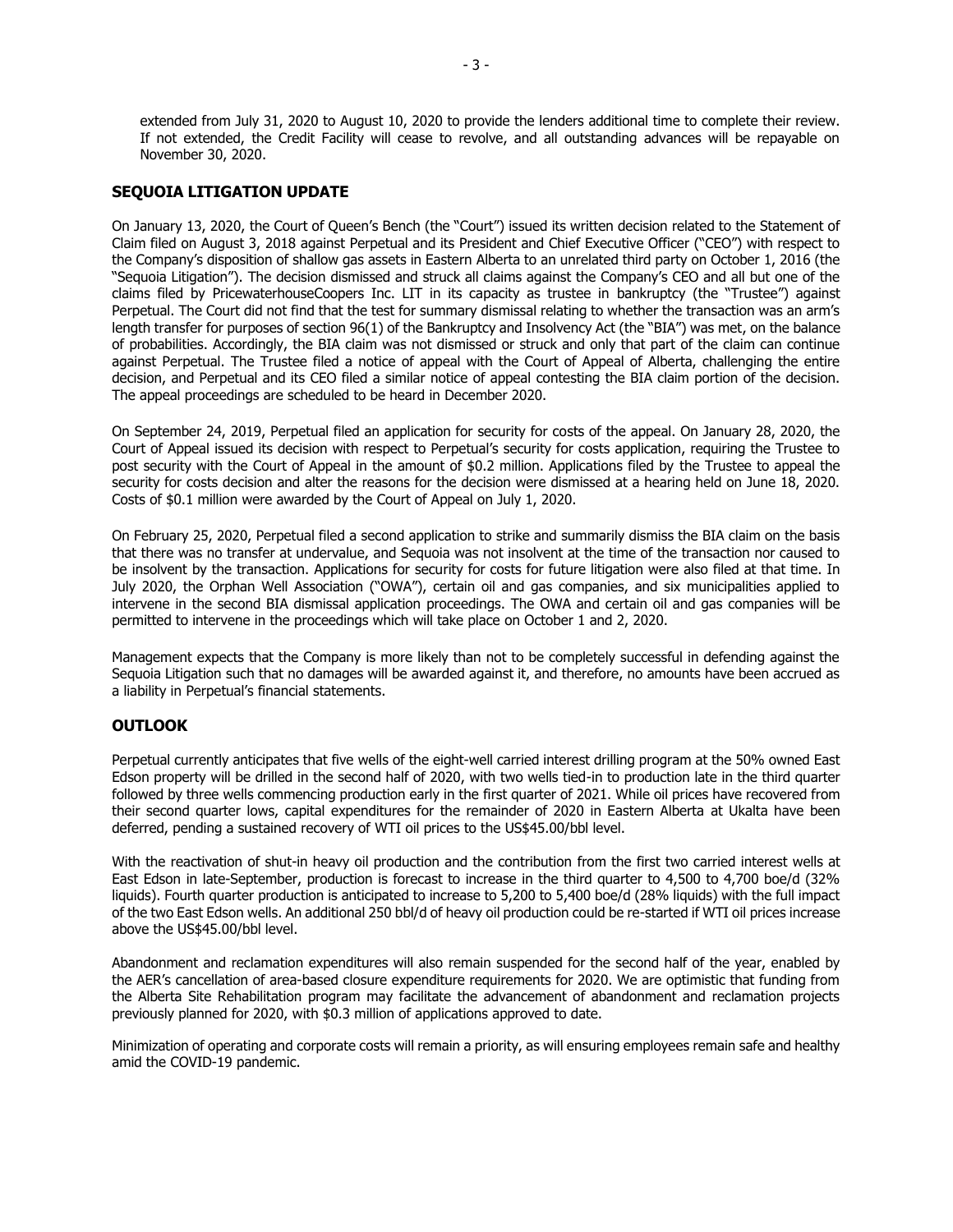extended from July 31, 2020 to August 10, 2020 to provide the lenders additional time to complete their review. If not extended, the Credit Facility will cease to revolve, and all outstanding advances will be repayable on November 30, 2020.

## **SEQUOIA LITIGATION UPDATE**

On January 13, 2020, the Court of Queen's Bench (the "Court") issued its written decision related to the Statement of Claim filed on August 3, 2018 against Perpetual and its President and Chief Executive Officer ("CEO") with respect to the Company's disposition of shallow gas assets in Eastern Alberta to an unrelated third party on October 1, 2016 (the "Sequoia Litigation"). The decision dismissed and struck all claims against the Company's CEO and all but one of the claims filed by PricewaterhouseCoopers Inc. LIT in its capacity as trustee in bankruptcy (the "Trustee") against Perpetual. The Court did not find that the test for summary dismissal relating to whether the transaction was an arm's length transfer for purposes of section 96(1) of the Bankruptcy and Insolvency Act (the "BIA") was met, on the balance of probabilities. Accordingly, the BIA claim was not dismissed or struck and only that part of the claim can continue against Perpetual. The Trustee filed a notice of appeal with the Court of Appeal of Alberta, challenging the entire decision, and Perpetual and its CEO filed a similar notice of appeal contesting the BIA claim portion of the decision. The appeal proceedings are scheduled to be heard in December 2020.

On September 24, 2019, Perpetual filed an application for security for costs of the appeal. On January 28, 2020, the Court of Appeal issued its decision with respect to Perpetual's security for costs application, requiring the Trustee to post security with the Court of Appeal in the amount of \$0.2 million. Applications filed by the Trustee to appeal the security for costs decision and alter the reasons for the decision were dismissed at a hearing held on June 18, 2020. Costs of \$0.1 million were awarded by the Court of Appeal on July 1, 2020.

On February 25, 2020, Perpetual filed a second application to strike and summarily dismiss the BIA claim on the basis that there was no transfer at undervalue, and Sequoia was not insolvent at the time of the transaction nor caused to be insolvent by the transaction. Applications for security for costs for future litigation were also filed at that time. In July 2020, the Orphan Well Association ("OWA"), certain oil and gas companies, and six municipalities applied to intervene in the second BIA dismissal application proceedings. The OWA and certain oil and gas companies will be permitted to intervene in the proceedings which will take place on October 1 and 2, 2020.

Management expects that the Company is more likely than not to be completely successful in defending against the Sequoia Litigation such that no damages will be awarded against it, and therefore, no amounts have been accrued as a liability in Perpetual's financial statements.

## **OUTLOOK**

Perpetual currently anticipates that five wells of the eight-well carried interest drilling program at the 50% owned East Edson property will be drilled in the second half of 2020, with two wells tied-in to production late in the third quarter followed by three wells commencing production early in the first quarter of 2021. While oil prices have recovered from their second quarter lows, capital expenditures for the remainder of 2020 in Eastern Alberta at Ukalta have been deferred, pending a sustained recovery of WTI oil prices to the US\$45.00/bbl level.

With the reactivation of shut-in heavy oil production and the contribution from the first two carried interest wells at East Edson in late-September, production is forecast to increase in the third quarter to 4,500 to 4,700 boe/d (32% liquids). Fourth quarter production is anticipated to increase to 5,200 to 5,400 boe/d (28% liquids) with the full impact of the two East Edson wells. An additional 250 bbl/d of heavy oil production could be re-started if WTI oil prices increase above the US\$45.00/bbl level.

Abandonment and reclamation expenditures will also remain suspended for the second half of the year, enabled by the AER's cancellation of area-based closure expenditure requirements for 2020. We are optimistic that funding from the Alberta Site Rehabilitation program may facilitate the advancement of abandonment and reclamation projects previously planned for 2020, with \$0.3 million of applications approved to date.

Minimization of operating and corporate costs will remain a priority, as will ensuring employees remain safe and healthy amid the COVID-19 pandemic.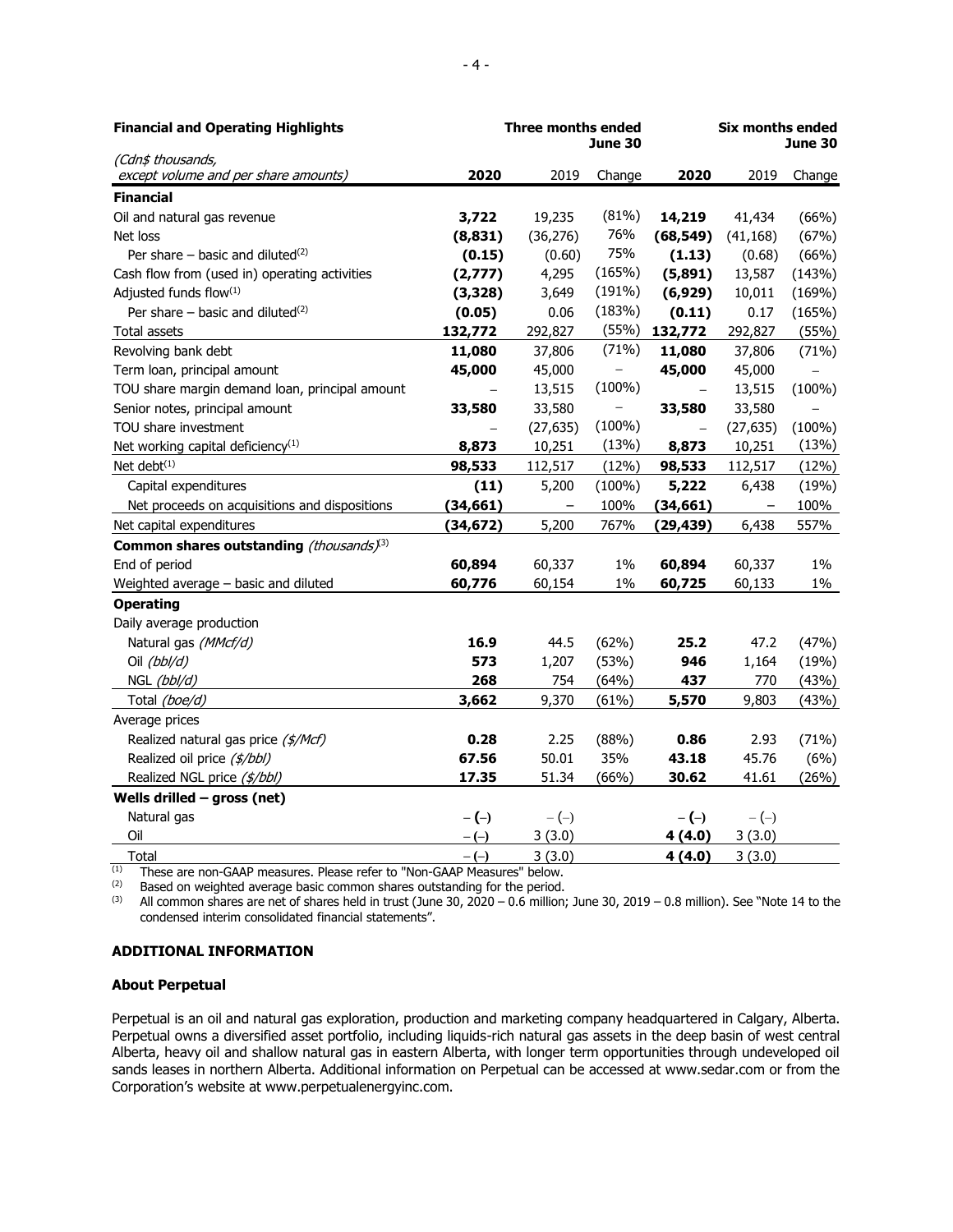| <b>Financial and Operating Highlights</b>                 | <b>Three months ended</b><br>June 30 |                   |           | <b>Six months ended</b><br><b>June 30</b> |                   |           |
|-----------------------------------------------------------|--------------------------------------|-------------------|-----------|-------------------------------------------|-------------------|-----------|
| (Cdn\$ thousands,<br>except volume and per share amounts) | 2020                                 | 2019              | Change    | 2020                                      | 2019              | Change    |
| <b>Financial</b>                                          |                                      |                   |           |                                           |                   |           |
| Oil and natural gas revenue                               | 3,722                                | 19,235            | (81%)     | 14,219                                    | 41,434            | (66%)     |
| Net loss                                                  | (8, 831)                             | (36, 276)         | 76%       | (68, 549)                                 | (41, 168)         | (67%)     |
| Per share $-$ basic and diluted <sup>(2)</sup>            | (0.15)                               | (0.60)            | 75%       | (1.13)                                    | (0.68)            | (66%)     |
| Cash flow from (used in) operating activities             | (2,777)                              | 4,295             | (165%)    | (5,891)                                   | 13,587            | (143%)    |
| Adjusted funds flow(1)                                    | (3, 328)                             | 3,649             | (191%)    | (6,929)                                   | 10,011            | (169%)    |
| Per share – basic and diluted $(2)$                       | (0.05)                               | 0.06              | (183%)    | (0.11)                                    | 0.17              | (165%)    |
| Total assets                                              | 132,772                              | 292,827           | (55%)     | 132,772                                   | 292,827           | (55%)     |
| Revolving bank debt                                       | 11,080                               | 37,806            | (71%)     | 11,080                                    | 37,806            | (71%)     |
| Term loan, principal amount                               | 45,000                               | 45,000            |           | 45,000                                    | 45,000            |           |
| TOU share margin demand loan, principal amount            |                                      | 13,515            | $(100\%)$ |                                           | 13,515            | $(100\%)$ |
| Senior notes, principal amount                            | 33,580                               | 33,580            |           | 33,580                                    | 33,580            |           |
| TOU share investment                                      |                                      | (27, 635)         | $(100\%)$ |                                           | (27, 635)         | $(100\%)$ |
| Net working capital deficiency <sup>(1)</sup>             | 8,873                                | 10,251            | (13%)     | 8,873                                     | 10,251            | (13%)     |
| Net debt $(1)$                                            | 98,533                               | 112,517           | (12%)     | 98,533                                    | 112,517           | (12%)     |
| Capital expenditures                                      | (11)                                 | 5,200             | $(100\%)$ | 5,222                                     | 6,438             | (19%)     |
| Net proceeds on acquisitions and dispositions             | (34, 661)                            | $\qquad \qquad -$ | 100%      | (34, 661)                                 | $\qquad \qquad -$ | 100%      |
| Net capital expenditures                                  | (34, 672)                            | 5,200             | 767%      | (29, 439)                                 | 6,438             | 557%      |
| Common shares outstanding (thousands) <sup>(3)</sup>      |                                      |                   |           |                                           |                   |           |
| End of period                                             | 60,894                               | 60,337            | $1\%$     | 60,894                                    | 60,337            | $1\%$     |
| Weighted average - basic and diluted                      | 60,776                               | 60,154            | $1\%$     | 60,725                                    | 60,133            | $1\%$     |
| <b>Operating</b>                                          |                                      |                   |           |                                           |                   |           |
| Daily average production                                  |                                      |                   |           |                                           |                   |           |
| Natural gas (MMcf/d)                                      | 16.9                                 | 44.5              | (62%)     | 25.2                                      | 47.2              | (47%)     |
| Oil (bbl/d)                                               | 573                                  | 1,207             | (53%)     | 946                                       | 1,164             | (19%)     |
| NGL (bbl/d)                                               | 268                                  | 754               | (64%)     | 437                                       | 770               | (43%)     |
| Total (boe/d)                                             | 3,662                                | 9,370             | (61%)     | 5,570                                     | 9,803             | (43%)     |
| Average prices                                            |                                      |                   |           |                                           |                   |           |
| Realized natural gas price (\$/Mcf)                       | 0.28                                 | 2.25              | (88%)     | 0.86                                      | 2.93              | (71%)     |
| Realized oil price (\$/bbl)                               | 67.56                                | 50.01             | 35%       | 43.18                                     | 45.76             | (6%)      |
| Realized NGL price (\$/bbl)                               | 17.35                                | 51.34             | (66%)     | 30.62                                     | 41.61             | (26%)     |
| Wells drilled $-$ gross (net)                             |                                      |                   |           |                                           |                   |           |
| Natural gas                                               | $-(-)$                               | $-(-)$            |           | $-(-)$                                    | $-(-)$            |           |
| Oil                                                       | $-(-)$                               | 3(3.0)            |           | 4(4.0)                                    | 3(3.0)            |           |
| Total                                                     | $-(-)$                               | 3(3.0)            |           | 4(4.0)                                    | 3(3.0)            |           |

 $\overline{^{(1)}}$  These are non-GAAP measures. Please refer to "Non-GAAP Measures" below.

 $(2)$  Based on weighted average basic common shares outstanding for the period. (3) All common shares are net of shares held in trust (June 30,  $2020 - 0.6$  million; June 30,  $2019 - 0.8$  million). See "Note 14 to the

condensed interim consolidated financial statements".

#### **ADDITIONAL INFORMATION**

#### **About Perpetual**

Perpetual is an oil and natural gas exploration, production and marketing company headquartered in Calgary, Alberta. Perpetual owns a diversified asset portfolio, including liquids-rich natural gas assets in the deep basin of west central Alberta, heavy oil and shallow natural gas in eastern Alberta, with longer term opportunities through undeveloped oil sands leases in northern Alberta. Additional information on Perpetual can be accessed at www.sedar.com or from the Corporation's website at www.perpetualenergyinc.com.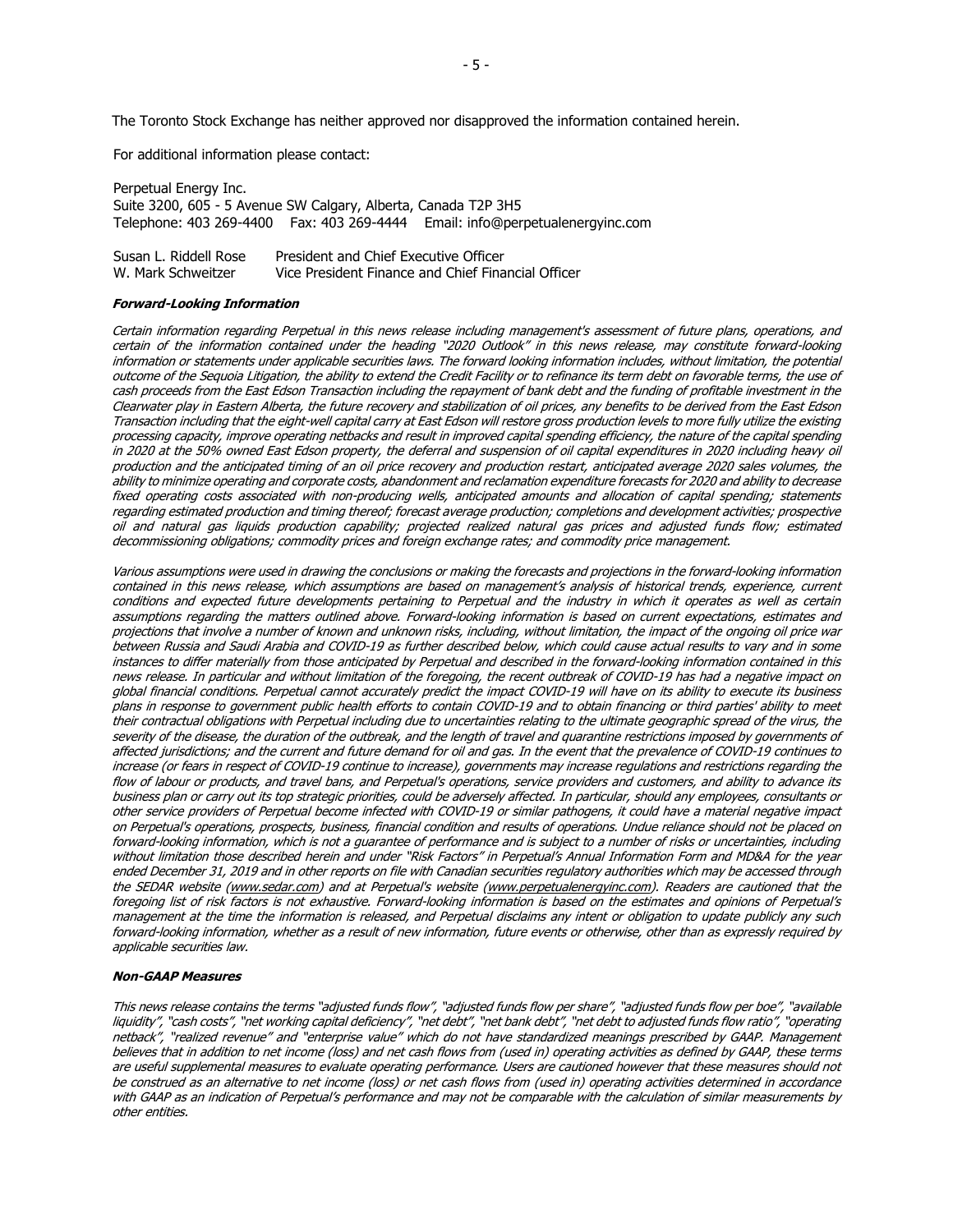The Toronto Stock Exchange has neither approved nor disapproved the information contained herein.

For additional information please contact:

Perpetual Energy Inc. Suite 3200, 605 - 5 Avenue SW Calgary, Alberta, Canada T2P 3H5 Telephone: 403 269-4400 Fax: 403 269-4444 Email: info@perpetualenergyinc.com

| Susan L. Riddell Rose | President and Chief Executive Officer              |
|-----------------------|----------------------------------------------------|
| W. Mark Schweitzer    | Vice President Finance and Chief Financial Officer |

#### **Forward-Looking Information**

Certain information regarding Perpetual in this news release including management's assessment of future plans, operations, and certain of the information contained under the heading "2020 Outlook" in this news release, may constitute forward-looking information or statements under applicable securities laws. The forward looking information includes, without limitation, the potential outcome of the Sequoia Litigation, the ability to extend the Credit Facility or to refinance its term debt on favorable terms, the use of cash proceeds from the East Edson Transaction including the repayment of bank debt and the funding of profitable investment in the Clearwater play in Eastern Alberta, the future recovery and stabilization of oil prices, any benefits to be derived from the East Edson Transaction including that the eight-well capital carry at East Edson will restore gross production levels to more fully utilize the existing processing capacity, improve operating netbacks and result in improved capital spending efficiency, the nature of the capital spending in 2020 at the 50% owned East Edson property, the deferral and suspension of oil capital expenditures in 2020 including heavy oil production and the anticipated timing of an oil price recovery and production restart, anticipated average 2020 sales volumes, the ability to minimize operating and corporate costs, abandonment and reclamation expenditure forecasts for 2020 and ability to decrease fixed operating costs associated with non-producing wells, anticipated amounts and allocation of capital spending; statements regarding estimated production and timing thereof; forecast average production; completions and development activities; prospective oil and natural gas liquids production capability; projected realized natural gas prices and adjusted funds flow; estimated decommissioning obligations; commodity prices and foreign exchange rates; and commodity price management.

Various assumptions were used in drawing the conclusions or making the forecasts and projections in the forward-looking information contained in this news release, which assumptions are based on management's analysis of historical trends, experience, current conditions and expected future developments pertaining to Perpetual and the industry in which it operates as well as certain assumptions regarding the matters outlined above. Forward-looking information is based on current expectations, estimates and projections that involve a number of known and unknown risks, including, without limitation, the impact of the ongoing oil price war between Russia and Saudi Arabia and COVID-19 as further described below, which could cause actual results to vary and in some instances to differ materially from those anticipated by Perpetual and described in the forward-looking information contained in this news release. In particular and without limitation of the foregoing, the recent outbreak of COVID-19 has had a negative impact on global financial conditions. Perpetual cannot accurately predict the impact COVID-19 will have on its ability to execute its business plans in response to government public health efforts to contain COVID-19 and to obtain financing or third parties' ability to meet their contractual obligations with Perpetual including due to uncertainties relating to the ultimate geographic spread of the virus, the severity of the disease, the duration of the outbreak, and the length of travel and quarantine restrictions imposed by governments of affected jurisdictions; and the current and future demand for oil and gas. In the event that the prevalence of COVID-19 continues to increase (or fears in respect of COVID-19 continue to increase), governments may increase regulations and restrictions regarding the flow of labour or products, and travel bans, and Perpetual's operations, service providers and customers, and ability to advance its business plan or carry out its top strategic priorities, could be adversely affected. In particular, should any employees, consultants or other service providers of Perpetual become infected with COVID-19 or similar pathogens, it could have a material negative impact on Perpetual's operations, prospects, business, financial condition and results of operations. Undue reliance should not be placed on forward-looking information, which is not a guarantee of performance and is subject to a number of risks or uncertainties, including without limitation those described herein and under "Risk Factors" in Perpetual's Annual Information Form and MD&A for the year ended December 31, 2019 and in other reports on file with Canadian securities regulatory authorities which may be accessed through the SEDAR website [\(www.sedar.com\)](http://www.sedar.com/) and at Perpetual's website [\(www.perpetualenergyinc.com\)](http://www.perpetualenergyinc.com/). Readers are cautioned that the foregoing list of risk factors is not exhaustive. Forward-looking information is based on the estimates and opinions of Perpetual's management at the time the information is released, and Perpetual disclaims any intent or obligation to update publicly any such forward-looking information, whether as a result of new information, future events or otherwise, other than as expressly required by applicable securities law.

#### **Non-GAAP Measures**

This news release contains the terms "adjusted funds flow", "adjusted funds flow per share", "adjusted funds flow per boe", "available liquidity", "cash costs", "net working capital deficiency", "net debt", "net bank debt", "net debt to adjusted funds flow ratio", "operating netback", "realized revenue" and "enterprise value" which do not have standardized meanings prescribed by GAAP. Management believes that in addition to net income (loss) and net cash flows from (used in) operating activities as defined by GAAP, these terms are useful supplemental measures to evaluate operating performance. Users are cautioned however that these measures should not be construed as an alternative to net income (loss) or net cash flows from (used in) operating activities determined in accordance with GAAP as an indication of Perpetual's performance and may not be comparable with the calculation of similar measurements by other entities.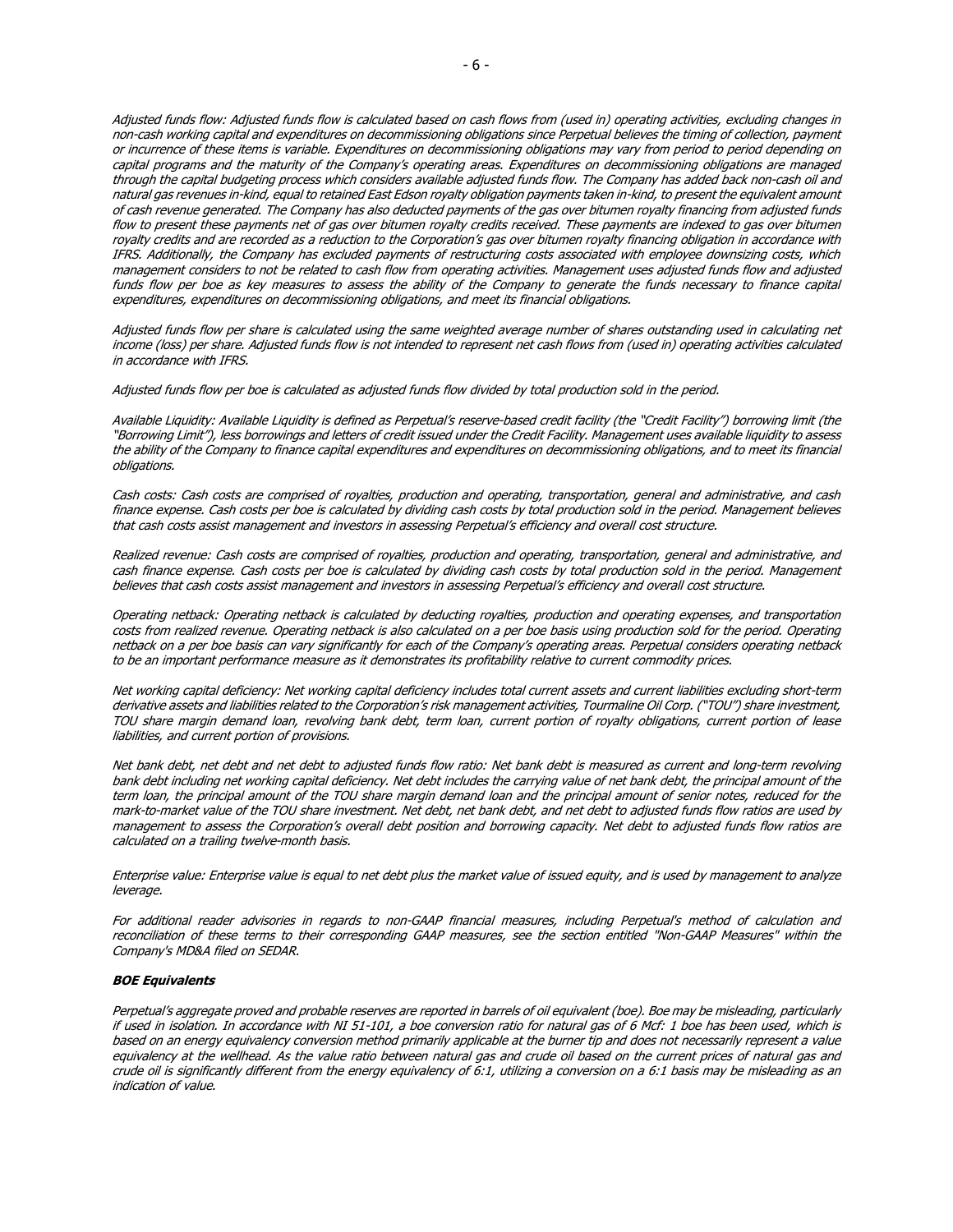Adjusted funds flow: Adjusted funds flow is calculated based on cash flows from (used in) operating activities, excluding changes in non-cash working capital and expenditures on decommissioning obligations since Perpetual believes the timing of collection, payment or incurrence of these items is variable. Expenditures on decommissioning obligations may vary from period to period depending on capital programs and the maturity of the Company's operating areas. Expenditures on decommissioning obligations are managed through the capital budgeting process which considers available adjusted funds flow. The Company has added back non-cash oil and natural gas revenues in-kind, equal to retained East Edson royalty obligation payments taken in-kind, to present the equivalent amount of cash revenue generated. The Company has also deducted payments of the gas over bitumen royalty financing from adjusted funds flow to present these payments net of gas over bitumen royalty credits received. These payments are indexed to gas over bitumen royalty credits and are recorded as a reduction to the Corporation's gas over bitumen royalty financing obligation in accordance with IFRS. Additionally, the Company has excluded payments of restructuring costs associated with employee downsizing costs, which management considers to not be related to cash flow from operating activities. Management uses adjusted funds flow and adjusted funds flow per boe as key measures to assess the ability of the Company to generate the funds necessary to finance capital expenditures, expenditures on decommissioning obligations, and meet its financial obligations.

Adjusted funds flow per share is calculated using the same weighted average number of shares outstanding used in calculating net income (loss) per share. Adjusted funds flow is not intended to represent net cash flows from (used in) operating activities calculated in accordance with IFRS.

Adjusted funds flow per boe is calculated as adjusted funds flow divided by total production sold in the period.

Available Liquidity: Available Liquidity is defined as Perpetual's reserve-based credit facility (the "Credit Facility") borrowing limit (the "Borrowing Limit"), less borrowings and letters of credit issued under the Credit Facility. Management uses available liquidity to assess the ability of the Company to finance capital expenditures and expenditures on decommissioning obligations, and to meet its financial obligations.

Cash costs: Cash costs are comprised of royalties, production and operating, transportation, general and administrative, and cash finance expense. Cash costs per boe is calculated by dividing cash costs by total production sold in the period. Management believes that cash costs assist management and investors in assessing Perpetual's efficiency and overall cost structure.

Realized revenue: Cash costs are comprised of royalties, production and operating, transportation, general and administrative, and cash finance expense. Cash costs per boe is calculated by dividing cash costs by total production sold in the period. Management believes that cash costs assist management and investors in assessing Perpetual's efficiency and overall cost structure.

Operating netback: Operating netback is calculated by deducting royalties, production and operating expenses, and transportation costs from realized revenue. Operating netback is also calculated on a per boe basis using production sold for the period. Operating netback on a per boe basis can vary significantly for each of the Company's operating areas. Perpetual considers operating netback to be an important performance measure as it demonstrates its profitability relative to current commodity prices.

Net working capital deficiency: Net working capital deficiency includes total current assets and current liabilities excluding short-term derivative assets and liabilities related to the Corporation's risk management activities, Tourmaline Oil Corp. ("TOU") share investment, TOU share margin demand loan, revolving bank debt, term loan, current portion of royalty obligations, current portion of lease liabilities, and current portion of provisions.

Net bank debt, net debt and net debt to adjusted funds flow ratio: Net bank debt is measured as current and long-term revolving bank debt including net working capital deficiency. Net debt includes the carrying value of net bank debt, the principal amount of the term loan, the principal amount of the TOU share margin demand loan and the principal amount of senior notes, reduced for the mark-to-market value of the TOU share investment. Net debt, net bank debt, and net debt to adjusted funds flow ratios are used by management to assess the Corporation's overall debt position and borrowing capacity. Net debt to adjusted funds flow ratios are calculated on a trailing twelve-month basis.

Enterprise value: Enterprise value is equal to net debt plus the market value of issued equity, and is used by management to analyze leverage.

For additional reader advisories in regards to non-GAAP financial measures, including Perpetual's method of calculation and reconciliation of these terms to their corresponding GAAP measures, see the section entitled "Non-GAAP Measures" within the Company's MD&A filed on SEDAR.

#### **BOE Equivalents**

Perpetual's aggregate proved and probable reserves are reported in barrels of oil equivalent (boe). Boe may be misleading, particularly if used in isolation. In accordance with NI 51-101, a boe conversion ratio for natural gas of 6 Mcf: 1 boe has been used, which is based on an energy equivalency conversion method primarily applicable at the burner tip and does not necessarily represent a value equivalency at the wellhead. As the value ratio between natural gas and crude oil based on the current prices of natural gas and crude oil is significantly different from the energy equivalency of 6:1, utilizing a conversion on a 6:1 basis may be misleading as an indication of value.